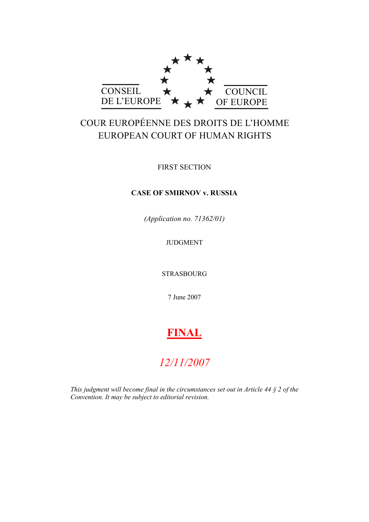

# COUR EUROPÉENNE DES DROITS DE L'HOMME EUROPEAN COURT OF HUMAN RIGHTS

FIRST SECTION

# **CASE OF SMIRNOV v. RUSSIA**

*(Application no. 71362/01)*

JUDGMENT

STRASBOURG

7 June 2007

# **FINAL**

# *12/11/2007*

*This judgment will become final in the circumstances set out in Article 44 § 2 of the Convention. It may be subject to editorial revision.*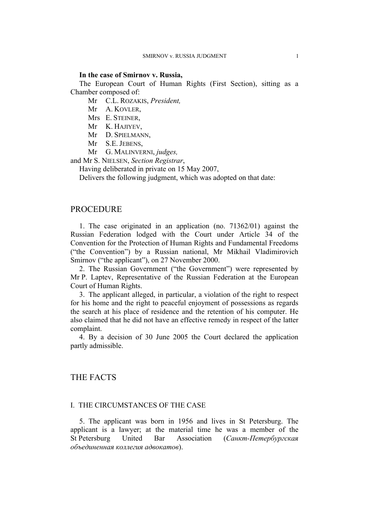#### **In the case of Smirnov v. Russia,**

The European Court of Human Rights (First Section), sitting as a Chamber composed of:

Mr C.L. ROZAKIS, *President,*

- Mr A. KOVLER,
- Mrs E. STEINER,
- Mr K. HAJIYEV,
- Mr D. SPIELMANN,
- Mr S.E. JEBENS,
- Mr G. MALINVERNI, *judges,*

and Mr S. NIELSEN, *Section Registrar*,

Having deliberated in private on 15 May 2007,

Delivers the following judgment, which was adopted on that date:

# **PROCEDURE**

1. The case originated in an application (no. 71362/01) against the Russian Federation lodged with the Court under Article 34 of the Convention for the Protection of Human Rights and Fundamental Freedoms ("the Convention") by a Russian national, Mr Mikhail Vladimirovich Smirnov ("the applicant"), on 27 November 2000.

2. The Russian Government ("the Government") were represented by Mr P. Laptev, Representative of the Russian Federation at the European Court of Human Rights.

3. The applicant alleged, in particular, a violation of the right to respect for his home and the right to peaceful enjoyment of possessions as regards the search at his place of residence and the retention of his computer. He also claimed that he did not have an effective remedy in respect of the latter complaint.

4. By a decision of 30 June 2005 the Court declared the application partly admissible.

# THE FACTS

#### I. THE CIRCUMSTANCES OF THE CASE

5. The applicant was born in 1956 and lives in St Petersburg. The applicant is a lawyer; at the material time he was a member of the St Petersburg United Bar Association (*Санкт-Петербургская объединенная коллегия адвокатов*).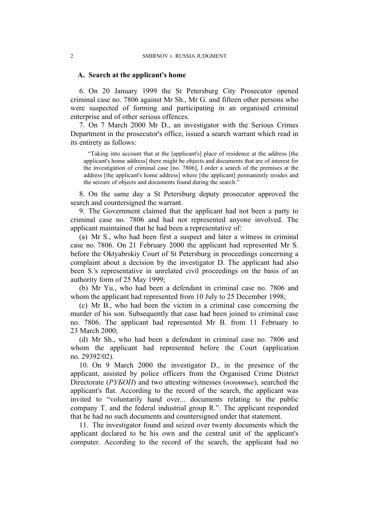#### **A. Search at the applicant's home**

6. On 20 January 1999 the St Petersburg City Prosecutor opened criminal case no. 7806 against Mr Sh., Mr G. and fifteen other persons who were suspected of forming and participating in an organised criminal enterprise and of other serious offences.

7. On 7 March 2000 Mr D., an investigator with the Serious Crimes Department in the prosecutor's office, issued a search warrant which read in its entirety as follows:

"Taking into account that at the [applicant's] place of residence at the address [the applicant's home address] there might be objects and documents that are of interest for the investigation of criminal case [no. 7806], I order a search of the premises at the address [the applicant's home address] where [the applicant] permanently resides and the seizure of objects and documents found during the search."

8. On the same day a St Petersburg deputy prosecutor approved the search and countersigned the warrant.

9. The Government claimed that the applicant had not been a party to criminal case no. 7806 and had not represented anyone involved. The applicant maintained that he had been a representative of:

(a) Mr S., who had been first a suspect and later a witness in criminal case no. 7806. On 21 February 2000 the applicant had represented Mr S. before the Oktyabrskiy Court of St Petersburg in proceedings concerning a complaint about a decision by the investigator D. The applicant had also been S.'s representative in unrelated civil proceedings on the basis of an authority form of 25 May 1999;

(b) Mr Yu., who had been a defendant in criminal case no. 7806 and whom the applicant had represented from 10 July to 25 December 1998;

(c) Mr B., who had been the victim in a criminal case concerning the murder of his son. Subsequently that case had been joined to criminal case no. 7806. The applicant had represented Mr B. from 11 February to 23 March 2000;

(d) Mr Sh., who had been a defendant in criminal case no. 7806 and whom the applicant had represented before the Court (application no. 29392/02).

10. On 9 March 2000 the investigator D., in the presence of the applicant, assisted by police officers from the Organised Crime District Directorate (*РУБОП*) and two attesting witnesses (*понятые*), searched the applicant's flat. According to the record of the search, the applicant was invited to "voluntarily hand over... documents relating to the public company T. and the federal industrial group R.". The applicant responded that he had no such documents and countersigned under that statement.

11. The investigator found and seized over twenty documents which the applicant declared to be his own and the central unit of the applicant's computer. According to the record of the search, the applicant had no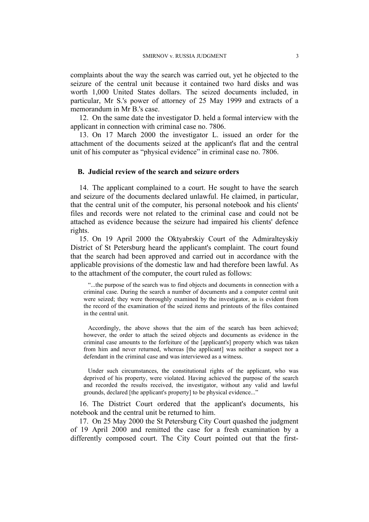complaints about the way the search was carried out, yet he objected to the seizure of the central unit because it contained two hard disks and was worth 1,000 United States dollars. The seized documents included, in particular, Mr S.'s power of attorney of 25 May 1999 and extracts of a memorandum in Mr B.'s case.

12. On the same date the investigator D. held a formal interview with the applicant in connection with criminal case no. 7806.

13. On 17 March 2000 the investigator L. issued an order for the attachment of the documents seized at the applicant's flat and the central unit of his computer as "physical evidence" in criminal case no. 7806.

#### **B. Judicial review of the search and seizure orders**

14. The applicant complained to a court. He sought to have the search and seizure of the documents declared unlawful. He claimed, in particular, that the central unit of the computer, his personal notebook and his clients' files and records were not related to the criminal case and could not be attached as evidence because the seizure had impaired his clients' defence rights.

<span id="page-4-0"></span>15. On 19 April 2000 the Oktyabrskiy Court of the Admiralteyskiy District of St Petersburg heard the applicant's complaint. The court found that the search had been approved and carried out in accordance with the applicable provisions of the domestic law and had therefore been lawful. As to the attachment of the computer, the court ruled as follows:

"...the purpose of the search was to find objects and documents in connection with a criminal case. During the search a number of documents and a computer central unit were seized; they were thoroughly examined by the investigator, as is evident from the record of the examination of the seized items and printouts of the files contained in the central unit.

Accordingly, the above shows that the aim of the search has been achieved; however, the order to attach the seized objects and documents as evidence in the criminal case amounts to the forfeiture of the [applicant's] property which was taken from him and never returned, whereas [the applicant] was neither a suspect nor a defendant in the criminal case and was interviewed as a witness.

Under such circumstances, the constitutional rights of the applicant, who was deprived of his property, were violated. Having achieved the purpose of the search and recorded the results received, the investigator, without any valid and lawful grounds, declared [the applicant's property] to be physical evidence..."

16. The District Court ordered that the applicant's documents, his notebook and the central unit be returned to him.

17. On 25 May 2000 the St Petersburg City Court quashed the judgment of 19 April 2000 and remitted the case for a fresh examination by a differently composed court. The City Court pointed out that the first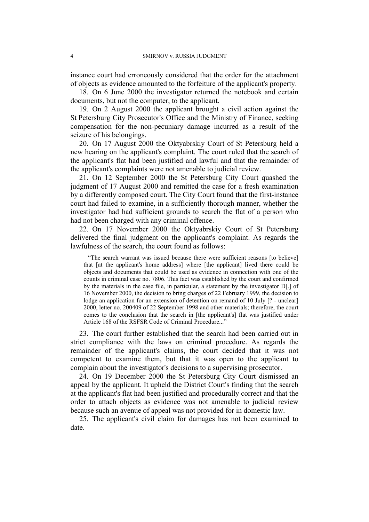instance court had erroneously considered that the order for the attachment of objects as evidence amounted to the forfeiture of the applicant's property.

18. On 6 June 2000 the investigator returned the notebook and certain documents, but not the computer, to the applicant.

19. On 2 August 2000 the applicant brought a civil action against the St Petersburg City Prosecutor's Office and the Ministry of Finance, seeking compensation for the non-pecuniary damage incurred as a result of the seizure of his belongings.

20. On 17 August 2000 the Oktyabrskiy Court of St Petersburg held a new hearing on the applicant's complaint. The court ruled that the search of the applicant's flat had been justified and lawful and that the remainder of the applicant's complaints were not amenable to judicial review.

21. On 12 September 2000 the St Petersburg City Court quashed the judgment of 17 August 2000 and remitted the case for a fresh examination by a differently composed court. The City Court found that the first-instance court had failed to examine, in a sufficiently thorough manner, whether the investigator had had sufficient grounds to search the flat of a person who had not been charged with any criminal offence.

<span id="page-5-0"></span>22. On 17 November 2000 the Oktyabrskiy Court of St Petersburg delivered the final judgment on the applicant's complaint. As regards the lawfulness of the search, the court found as follows:

"The search warrant was issued because there were sufficient reasons [to believe] that [at the applicant's home address] where [the applicant] lived there could be objects and documents that could be used as evidence in connection with one of the counts in criminal case no. 7806. This fact was established by the court and confirmed by the materials in the case file, in particular, a statement by the investigator D[.] of 16 November 2000, the decision to bring charges of 22 February 1999, the decision to lodge an application for an extension of detention on remand of 10 July [? - unclear] 2000, letter no. 200409 of 22 September 1998 and other materials; therefore, the court comes to the conclusion that the search in [the applicant's] flat was justified under Article 168 of the RSFSR Code of Criminal Procedure..."

23. The court further established that the search had been carried out in strict compliance with the laws on criminal procedure. As regards the remainder of the applicant's claims, the court decided that it was not competent to examine them, but that it was open to the applicant to complain about the investigator's decisions to a supervising prosecutor.

24. On 19 December 2000 the St Petersburg City Court dismissed an appeal by the applicant. It upheld the District Court's finding that the search at the applicant's flat had been justified and procedurally correct and that the order to attach objects as evidence was not amenable to judicial review because such an avenue of appeal was not provided for in domestic law.

25. The applicant's civil claim for damages has not been examined to date.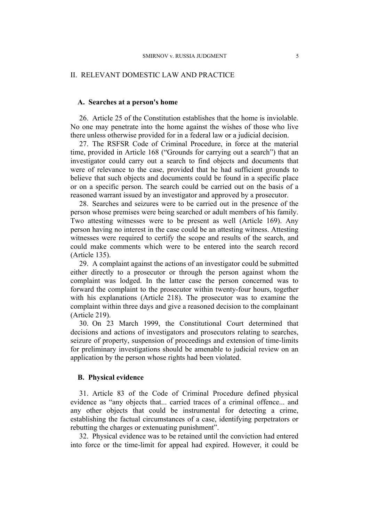#### II. RELEVANT DOMESTIC LAW AND PRACTICE

#### **A. Searches at a person's home**

<span id="page-6-0"></span>26. Article 25 of the Constitution establishes that the home is inviolable. No one may penetrate into the home against the wishes of those who live there unless otherwise provided for in a federal law or a judicial decision.

<span id="page-6-1"></span>27. The RSFSR Code of Criminal Procedure, in force at the material time, provided in Article 168 ("Grounds for carrying out a search") that an investigator could carry out a search to find objects and documents that were of relevance to the case, provided that he had sufficient grounds to believe that such objects and documents could be found in a specific place or on a specific person. The search could be carried out on the basis of a reasoned warrant issued by an investigator and approved by a prosecutor.

28. Searches and seizures were to be carried out in the presence of the person whose premises were being searched or adult members of his family. Two attesting witnesses were to be present as well (Article 169). Any person having no interest in the case could be an attesting witness. Attesting witnesses were required to certify the scope and results of the search, and could make comments which were to be entered into the search record (Article 135).

29. A complaint against the actions of an investigator could be submitted either directly to a prosecutor or through the person against whom the complaint was lodged. In the latter case the person concerned was to forward the complaint to the prosecutor within twenty-four hours, together with his explanations (Article 218). The prosecutor was to examine the complaint within three days and give a reasoned decision to the complainant (Article 219).

30. On 23 March 1999, the Constitutional Court determined that decisions and actions of investigators and prosecutors relating to searches, seizure of property, suspension of proceedings and extension of time-limits for preliminary investigations should be amenable to judicial review on an application by the person whose rights had been violated.

#### **B. Physical evidence**

<span id="page-6-2"></span>31. Article 83 of the Code of Criminal Procedure defined physical evidence as "any objects that... carried traces of a criminal offence... and any other objects that could be instrumental for detecting a crime, establishing the factual circumstances of a case, identifying perpetrators or rebutting the charges or extenuating punishment".

<span id="page-6-3"></span>32. Physical evidence was to be retained until the conviction had entered into force or the time-limit for appeal had expired. However, it could be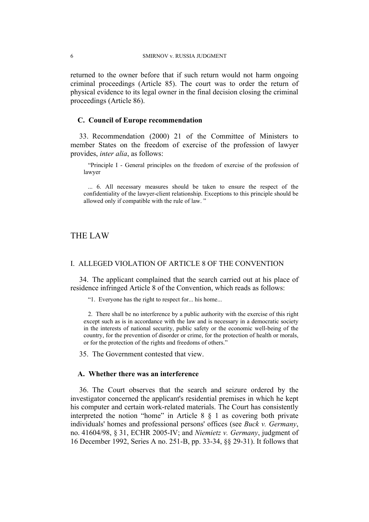returned to the owner before that if such return would not harm ongoing criminal proceedings (Article 85). The court was to order the return of physical evidence to its legal owner in the final decision closing the criminal proceedings (Article 86).

### **C. Council of Europe recommendation**

33. Recommendation (2000) 21 of the Committee of Ministers to member States on the freedom of exercise of the profession of lawyer provides, *inter alia*, as follows:

"Principle I - General principles on the freedom of exercise of the profession of lawyer

... 6. All necessary measures should be taken to ensure the respect of the confidentiality of the lawyer-client relationship. Exceptions to this principle should be allowed only if compatible with the rule of law. "

# THE LAW

#### I. ALLEGED VIOLATION OF ARTICLE 8 OF THE CONVENTION

34. The applicant complained that the search carried out at his place of residence infringed Article 8 of the Convention, which reads as follows:

"1. Everyone has the right to respect for... his home...

2. There shall be no interference by a public authority with the exercise of this right except such as is in accordance with the law and is necessary in a democratic society in the interests of national security, public safety or the economic well-being of the country, for the prevention of disorder or crime, for the protection of health or morals, or for the protection of the rights and freedoms of others."

35. The Government contested that view.

#### **A. Whether there was an interference**

36. The Court observes that the search and seizure ordered by the investigator concerned the applicant's residential premises in which he kept his computer and certain work-related materials. The Court has consistently interpreted the notion "home" in Article 8 § 1 as covering both private individuals' homes and professional persons' offices (see *Buck v. Germany*, no. 41604/98, § 31, ECHR 2005-IV; and *Niemietz v. Germany*, judgment of 16 December 1992, Series A no. 251-B, pp. 33-34, §§ 29-31). It follows that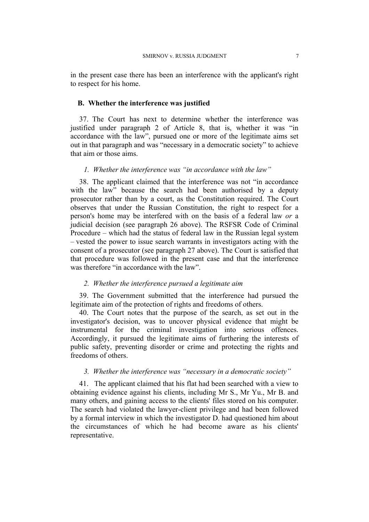in the present case there has been an interference with the applicant's right to respect for his home.

#### **B. Whether the interference was justified**

37. The Court has next to determine whether the interference was justified under paragraph 2 of Article 8, that is, whether it was "in accordance with the law", pursued one or more of the legitimate aims set out in that paragraph and was "necessary in a democratic society" to achieve that aim or those aims.

# *1. Whether the interference was "in accordance with the law"*

38. The applicant claimed that the interference was not "in accordance with the law" because the search had been authorised by a deputy prosecutor rather than by a court, as the Constitution required. The Court observes that under the Russian Constitution, the right to respect for a person's home may be interfered with on the basis of a federal law *or* a judicial decision (see paragraph [26](#page-6-0) above). The RSFSR Code of Criminal Procedure – which had the status of federal law in the Russian legal system – vested the power to issue search warrants in investigators acting with the consent of a prosecutor (see paragraph [27](#page-6-1) above). The Court is satisfied that that procedure was followed in the present case and that the interference was therefore "in accordance with the law".

## *2. Whether the interference pursued a legitimate aim*

39. The Government submitted that the interference had pursued the legitimate aim of the protection of rights and freedoms of others.

40. The Court notes that the purpose of the search, as set out in the investigator's decision, was to uncover physical evidence that might be instrumental for the criminal investigation into serious offences. Accordingly, it pursued the legitimate aims of furthering the interests of public safety, preventing disorder or crime and protecting the rights and freedoms of others.

# *3. Whether the interference was "necessary in a democratic society"*

41. The applicant claimed that his flat had been searched with a view to obtaining evidence against his clients, including Mr S., Mr Yu., Mr B. and many others, and gaining access to the clients' files stored on his computer. The search had violated the lawyer-client privilege and had been followed by a formal interview in which the investigator D. had questioned him about the circumstances of which he had become aware as his clients' representative.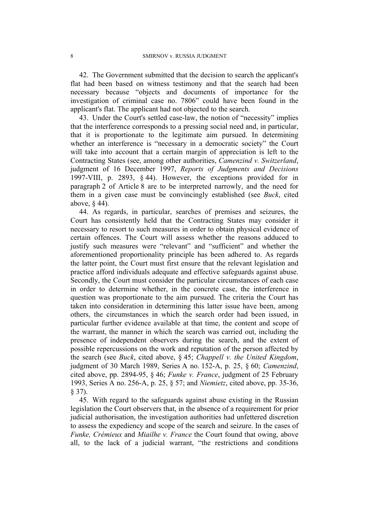42. The Government submitted that the decision to search the applicant's flat had been based on witness testimony and that the search had been necessary because "objects and documents of importance for the investigation of criminal case no. 7806" could have been found in the applicant's flat. The applicant had not objected to the search.

43. Under the Court's settled case-law, the notion of "necessity" implies that the interference corresponds to a pressing social need and, in particular, that it is proportionate to the legitimate aim pursued. In determining whether an interference is "necessary in a democratic society" the Court will take into account that a certain margin of appreciation is left to the Contracting States (see, among other authorities, *Camenzind v. Switzerland*, judgment of 16 December 1997, *Reports of Judgments and Decisions* 1997-VIII, p. 2893, § 44). However, the exceptions provided for in paragraph 2 of Article 8 are to be interpreted narrowly, and the need for them in a given case must be convincingly established (see *Buck*, cited above, § 44).

44. As regards, in particular, searches of premises and seizures, the Court has consistently held that the Contracting States may consider it necessary to resort to such measures in order to obtain physical evidence of certain offences. The Court will assess whether the reasons adduced to justify such measures were "relevant" and "sufficient" and whether the aforementioned proportionality principle has been adhered to. As regards the latter point, the Court must first ensure that the relevant legislation and practice afford individuals adequate and effective safeguards against abuse. Secondly, the Court must consider the particular circumstances of each case in order to determine whether, in the concrete case, the interference in question was proportionate to the aim pursued. The criteria the Court has taken into consideration in determining this latter issue have been, among others, the circumstances in which the search order had been issued, in particular further evidence available at that time, the content and scope of the warrant, the manner in which the search was carried out, including the presence of independent observers during the search, and the extent of possible repercussions on the work and reputation of the person affected by the search (see *Buck*, cited above, § 45; *Chappell v. the United Kingdom*, judgment of 30 March 1989, Series A no. 152-A, p. 25, § 60; *Camenzind*, cited above, pp. 2894-95, § 46; *Funke v. France*, judgment of 25 February 1993, Series A no. 256-A, p. 25, § 57; and *Niemietz*, cited above, pp. 35-36, § 37).

45. With regard to the safeguards against abuse existing in the Russian legislation the Court observers that, in the absence of a requirement for prior judicial authorisation, the investigation authorities had unfettered discretion to assess the expediency and scope of the search and seizure. In the cases of *Funke, Crémieux* and *Miailhe v. France* the Court found that owing, above all, to the lack of a judicial warrant, "the restrictions and conditions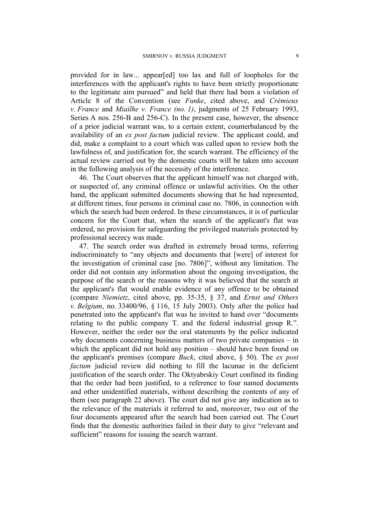provided for in law... appear[ed] too lax and full of loopholes for the interferences with the applicant's rights to have been strictly proportionate to the legitimate aim pursued" and held that there had been a violation of Article 8 of the Convention (see *Funke*, cited above, and *Crémieux v. France* and *Miailhe v. France (no. 1)*, judgments of 25 February 1993, Series A nos. 256-B and 256-C). In the present case, however, the absence of a prior judicial warrant was, to a certain extent, counterbalanced by the availability of an *ex post factum* judicial review. The applicant could, and did, make a complaint to a court which was called upon to review both the lawfulness of, and justification for, the search warrant. The efficiency of the actual review carried out by the domestic courts will be taken into account in the following analysis of the necessity of the interference.

46. The Court observes that the applicant himself was not charged with, or suspected of, any criminal offence or unlawful activities. On the other hand, the applicant submitted documents showing that he had represented, at different times, four persons in criminal case no. 7806, in connection with which the search had been ordered. In these circumstances, it is of particular concern for the Court that, when the search of the applicant's flat was ordered, no provision for safeguarding the privileged materials protected by professional secrecy was made.

47. The search order was drafted in extremely broad terms, referring indiscriminately to "any objects and documents that [were] of interest for the investigation of criminal case [no. 7806]", without any limitation. The order did not contain any information about the ongoing investigation, the purpose of the search or the reasons why it was believed that the search at the applicant's flat would enable evidence of any offence to be obtained (compare *Niemietz*, cited above, pp. 35-35, § 37, and *Ernst and Others v. Belgium*, no. 33400/96, § 116, 15 July 2003). Only after the police had penetrated into the applicant's flat was he invited to hand over "documents relating to the public company T. and the federal industrial group R.". However, neither the order nor the oral statements by the police indicated why documents concerning business matters of two private companies – in which the applicant did not hold any position – should have been found on the applicant's premises (compare *Buck*, cited above, § 50). The *ex post factum* judicial review did nothing to fill the lacunae in the deficient justification of the search order. The Oktyabrskiy Court confined its finding that the order had been justified, to a reference to four named documents and other unidentified materials, without describing the contents of any of them (see paragraph [22](#page-5-0) above). The court did not give any indication as to the relevance of the materials it referred to and, moreover, two out of the four documents appeared after the search had been carried out. The Court finds that the domestic authorities failed in their duty to give "relevant and sufficient" reasons for issuing the search warrant.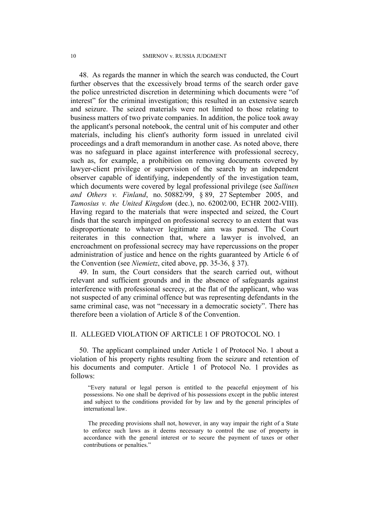48. As regards the manner in which the search was conducted, the Court further observes that the excessively broad terms of the search order gave the police unrestricted discretion in determining which documents were "of interest" for the criminal investigation; this resulted in an extensive search and seizure. The seized materials were not limited to those relating to business matters of two private companies. In addition, the police took away the applicant's personal notebook, the central unit of his computer and other materials, including his client's authority form issued in unrelated civil proceedings and a draft memorandum in another case. As noted above, there was no safeguard in place against interference with professional secrecy, such as, for example, a prohibition on removing documents covered by lawyer-client privilege or supervision of the search by an independent observer capable of identifying, independently of the investigation team, which documents were covered by legal professional privilege (see *Sallinen and Others v. Finland*, no. 50882/99, § 89, 27 September 2005, and *Tamosius v. the United Kingdom* (dec.), no. 62002/00, ECHR 2002-VIII). Having regard to the materials that were inspected and seized, the Court finds that the search impinged on professional secrecy to an extent that was disproportionate to whatever legitimate aim was pursed. The Court reiterates in this connection that, where a lawyer is involved, an encroachment on professional secrecy may have repercussions on the proper administration of justice and hence on the rights guaranteed by Article 6 of the Convention (see *Niemietz*, cited above, pp. 35-36, § 37).

49. In sum, the Court considers that the search carried out, without relevant and sufficient grounds and in the absence of safeguards against interference with professional secrecy, at the flat of the applicant, who was not suspected of any criminal offence but was representing defendants in the same criminal case, was not "necessary in a democratic society". There has therefore been a violation of Article 8 of the Convention.

## II. ALLEGED VIOLATION OF ARTICLE 1 OF PROTOCOL NO. 1

50. The applicant complained under Article 1 of Protocol No. 1 about a violation of his property rights resulting from the seizure and retention of his documents and computer. Article 1 of Protocol No. 1 provides as follows:

"Every natural or legal person is entitled to the peaceful enjoyment of his possessions. No one shall be deprived of his possessions except in the public interest and subject to the conditions provided for by law and by the general principles of international law.

The preceding provisions shall not, however, in any way impair the right of a State to enforce such laws as it deems necessary to control the use of property in accordance with the general interest or to secure the payment of taxes or other contributions or penalties."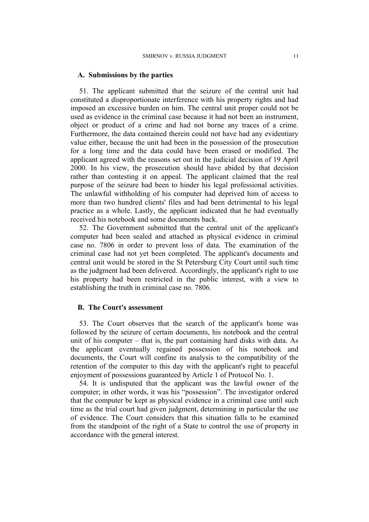#### **A. Submissions by the parties**

51. The applicant submitted that the seizure of the central unit had constituted a disproportionate interference with his property rights and had imposed an excessive burden on him. The central unit proper could not be used as evidence in the criminal case because it had not been an instrument, object or product of a crime and had not borne any traces of a crime. Furthermore, the data contained therein could not have had any evidentiary value either, because the unit had been in the possession of the prosecution for a long time and the data could have been erased or modified. The applicant agreed with the reasons set out in the judicial decision of 19 April 2000. In his view, the prosecution should have abided by that decision rather than contesting it on appeal. The applicant claimed that the real purpose of the seizure had been to hinder his legal professional activities. The unlawful withholding of his computer had deprived him of access to more than two hundred clients' files and had been detrimental to his legal practice as a whole. Lastly, the applicant indicated that he had eventually received his notebook and some documents back.

52. The Government submitted that the central unit of the applicant's computer had been sealed and attached as physical evidence in criminal case no. 7806 in order to prevent loss of data. The examination of the criminal case had not yet been completed. The applicant's documents and central unit would be stored in the St Petersburg City Court until such time as the judgment had been delivered. Accordingly, the applicant's right to use his property had been restricted in the public interest, with a view to establishing the truth in criminal case no. 7806.

#### **B. The Court's assessment**

53. The Court observes that the search of the applicant's home was followed by the seizure of certain documents, his notebook and the central unit of his computer – that is, the part containing hard disks with data. As the applicant eventually regained possession of his notebook and documents, the Court will confine its analysis to the compatibility of the retention of the computer to this day with the applicant's right to peaceful enjoyment of possessions guaranteed by Article 1 of Protocol No. 1.

54. It is undisputed that the applicant was the lawful owner of the computer; in other words, it was his "possession". The investigator ordered that the computer be kept as physical evidence in a criminal case until such time as the trial court had given judgment, determining in particular the use of evidence. The Court considers that this situation falls to be examined from the standpoint of the right of a State to control the use of property in accordance with the general interest.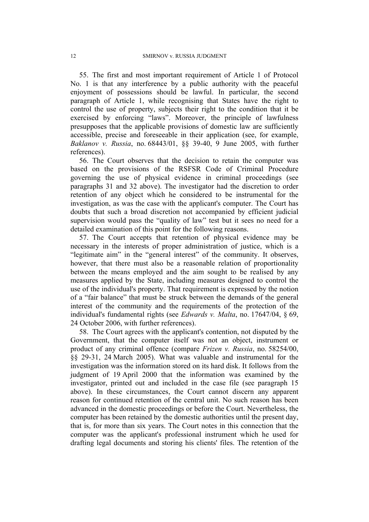55. The first and most important requirement of Article 1 of Protocol No. 1 is that any interference by a public authority with the peaceful enjoyment of possessions should be lawful. In particular, the second paragraph of Article 1, while recognising that States have the right to control the use of property, subjects their right to the condition that it be exercised by enforcing "laws". Moreover, the principle of lawfulness presupposes that the applicable provisions of domestic law are sufficiently accessible, precise and foreseeable in their application (see, for example, *Baklanov v. Russia*, no. 68443/01, §§ 39-40, 9 June 2005, with further references).

56. The Court observes that the decision to retain the computer was based on the provisions of the RSFSR Code of Criminal Procedure governing the use of physical evidence in criminal proceedings (see paragraphs [31](#page-6-2) and [32](#page-6-3) above). The investigator had the discretion to order retention of any object which he considered to be instrumental for the investigation, as was the case with the applicant's computer. The Court has doubts that such a broad discretion not accompanied by efficient judicial supervision would pass the "quality of law" test but it sees no need for a detailed examination of this point for the following reasons.

57. The Court accepts that retention of physical evidence may be necessary in the interests of proper administration of justice, which is a "legitimate aim" in the "general interest" of the community. It observes, however, that there must also be a reasonable relation of proportionality between the means employed and the aim sought to be realised by any measures applied by the State, including measures designed to control the use of the individual's property. That requirement is expressed by the notion of a "fair balance" that must be struck between the demands of the general interest of the community and the requirements of the protection of the individual's fundamental rights (see *Edwards v. Malta*, no. 17647/04, § 69, 24 October 2006, with further references).

58. The Court agrees with the applicant's contention, not disputed by the Government, that the computer itself was not an object, instrument or product of any criminal offence (compare *Frizen v. Russia*, no. 58254/00, §§ 29-31, 24 March 2005). What was valuable and instrumental for the investigation was the information stored on its hard disk. It follows from the judgment of 19 April 2000 that the information was examined by the investigator, printed out and included in the case file (see paragraph [15](#page-4-0) above). In these circumstances, the Court cannot discern any apparent reason for continued retention of the central unit. No such reason has been advanced in the domestic proceedings or before the Court. Nevertheless, the computer has been retained by the domestic authorities until the present day, that is, for more than six years. The Court notes in this connection that the computer was the applicant's professional instrument which he used for drafting legal documents and storing his clients' files. The retention of the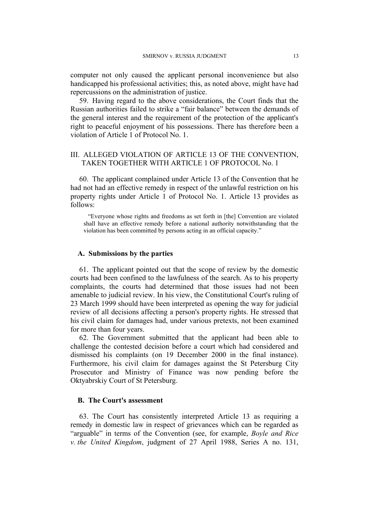computer not only caused the applicant personal inconvenience but also handicapped his professional activities; this, as noted above, might have had repercussions on the administration of justice.

59. Having regard to the above considerations, the Court finds that the Russian authorities failed to strike a "fair balance" between the demands of the general interest and the requirement of the protection of the applicant's right to peaceful enjoyment of his possessions. There has therefore been a violation of Article 1 of Protocol No. 1.

# III. ALLEGED VIOLATION OF ARTICLE 13 OF THE CONVENTION, TAKEN TOGETHER WITH ARTICLE 1 OF PROTOCOL No. 1

60. The applicant complained under Article 13 of the Convention that he had not had an effective remedy in respect of the unlawful restriction on his property rights under Article 1 of Protocol No. 1. Article 13 provides as follows:

"Everyone whose rights and freedoms as set forth in [the] Convention are violated shall have an effective remedy before a national authority notwithstanding that the violation has been committed by persons acting in an official capacity."

### **A. Submissions by the parties**

61. The applicant pointed out that the scope of review by the domestic courts had been confined to the lawfulness of the search. As to his property complaints, the courts had determined that those issues had not been amenable to judicial review. In his view, the Constitutional Court's ruling of 23 March 1999 should have been interpreted as opening the way for judicial review of all decisions affecting a person's property rights. He stressed that his civil claim for damages had, under various pretexts, not been examined for more than four years.

62. The Government submitted that the applicant had been able to challenge the contested decision before a court which had considered and dismissed his complaints (on 19 December 2000 in the final instance). Furthermore, his civil claim for damages against the St Petersburg City Prosecutor and Ministry of Finance was now pending before the Oktyabrskiy Court of St Petersburg.

### **B. The Court's assessment**

63. The Court has consistently interpreted Article 13 as requiring a remedy in domestic law in respect of grievances which can be regarded as "arguable" in terms of the Convention (see, for example, *Boyle and Rice v. the United Kingdom*, judgment of 27 April 1988, Series A no. 131,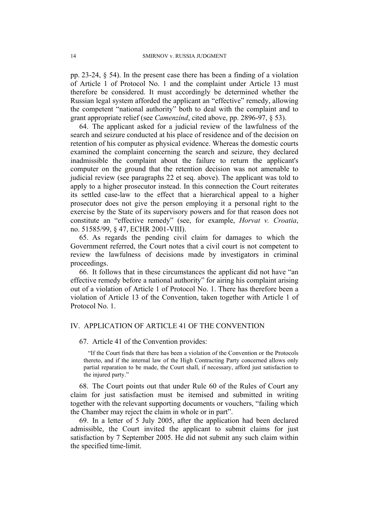pp. 23-24, § 54). In the present case there has been a finding of a violation of Article 1 of Protocol No. 1 and the complaint under Article 13 must therefore be considered. It must accordingly be determined whether the Russian legal system afforded the applicant an "effective" remedy, allowing the competent "national authority" both to deal with the complaint and to grant appropriate relief (see *Camenzind*, cited above, pp. 2896-97, § 53).

64. The applicant asked for a judicial review of the lawfulness of the search and seizure conducted at his place of residence and of the decision on retention of his computer as physical evidence. Whereas the domestic courts examined the complaint concerning the search and seizure, they declared inadmissible the complaint about the failure to return the applicant's computer on the ground that the retention decision was not amenable to judicial review (see paragraphs [22](#page-5-0) et seq. above). The applicant was told to apply to a higher prosecutor instead. In this connection the Court reiterates its settled case-law to the effect that a hierarchical appeal to a higher prosecutor does not give the person employing it a personal right to the exercise by the State of its supervisory powers and for that reason does not constitute an "effective remedy" (see, for example, *Horvat v. Croatia*, no. 51585/99, § 47, ECHR 2001-VIII).

65. As regards the pending civil claim for damages to which the Government referred, the Court notes that a civil court is not competent to review the lawfulness of decisions made by investigators in criminal proceedings.

66. It follows that in these circumstances the applicant did not have "an effective remedy before a national authority" for airing his complaint arising out of a violation of Article 1 of Protocol No. 1. There has therefore been a violation of Article 13 of the Convention, taken together with Article 1 of Protocol No. 1.

## IV. APPLICATION OF ARTICLE 41 OF THE CONVENTION

67. Article 41 of the Convention provides:

"If the Court finds that there has been a violation of the Convention or the Protocols thereto, and if the internal law of the High Contracting Party concerned allows only partial reparation to be made, the Court shall, if necessary, afford just satisfaction to the injured party."

68. The Court points out that under Rule 60 of the Rules of Court any claim for just satisfaction must be itemised and submitted in writing together with the relevant supporting documents or vouchers, "failing which the Chamber may reject the claim in whole or in part".

69. In a letter of 5 July 2005, after the application had been declared admissible, the Court invited the applicant to submit claims for just satisfaction by 7 September 2005. He did not submit any such claim within the specified time-limit.